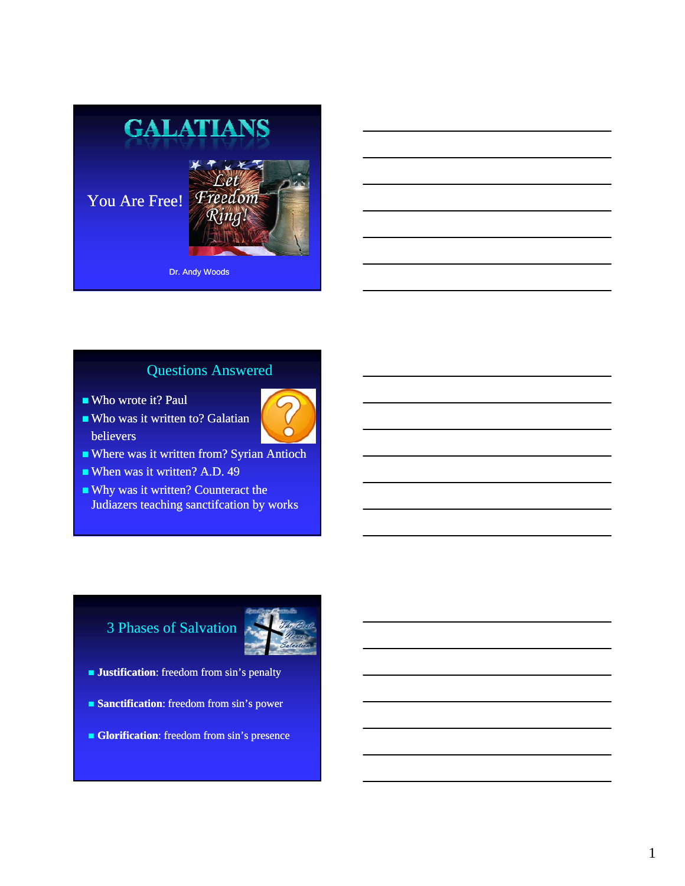

## Questions Answered

- Who wrote it? Paul
- Who was it written to? Galatian believers



- When was it written? A.D. 49
- Why was it written? Counteract the Judiazers teaching sanctifcation by works

# 3 Phases of Salvation



- **Justification**: freedom from sin's penalty
- **Sanctification:** freedom from sin's power
- **Glorification**: freedom from sin's presence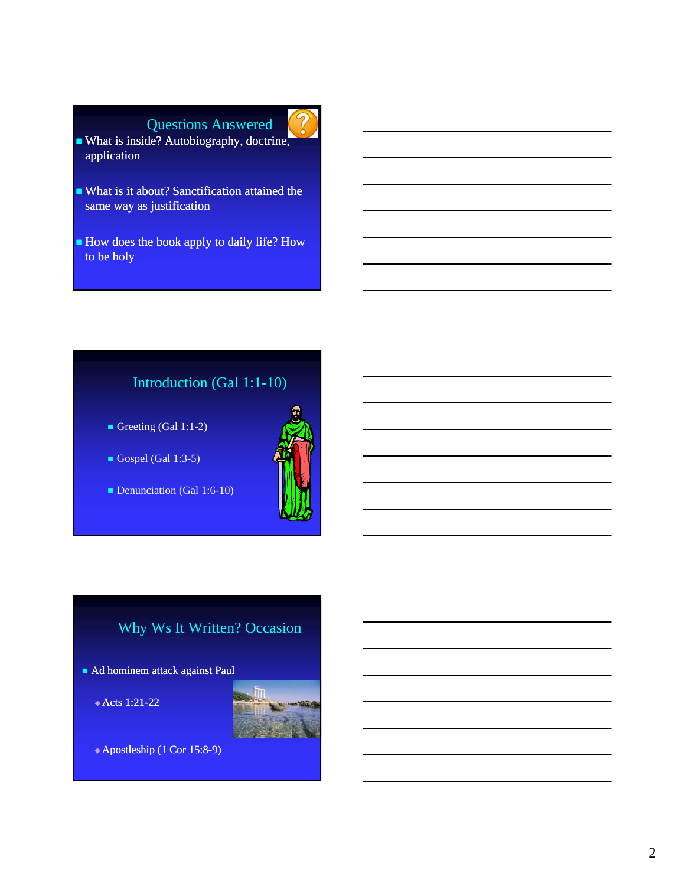- What is it about? Sanctification attained the same way as justification
- How does the book apply to daily life? How to be holy

## Introduction (Gal 1:1-10)

- Greeting (Gal 1:1-2)
- Gospel (Gal 1:3-5)
- Denunciation (Gal 1:6-10)



# Why Ws It Written? Occasion

- Ad hominem attack against Paul
	- $\triangle$  Acts 1:21-22



 $\triangle$  Apostleship (1 Cor 15:8-9)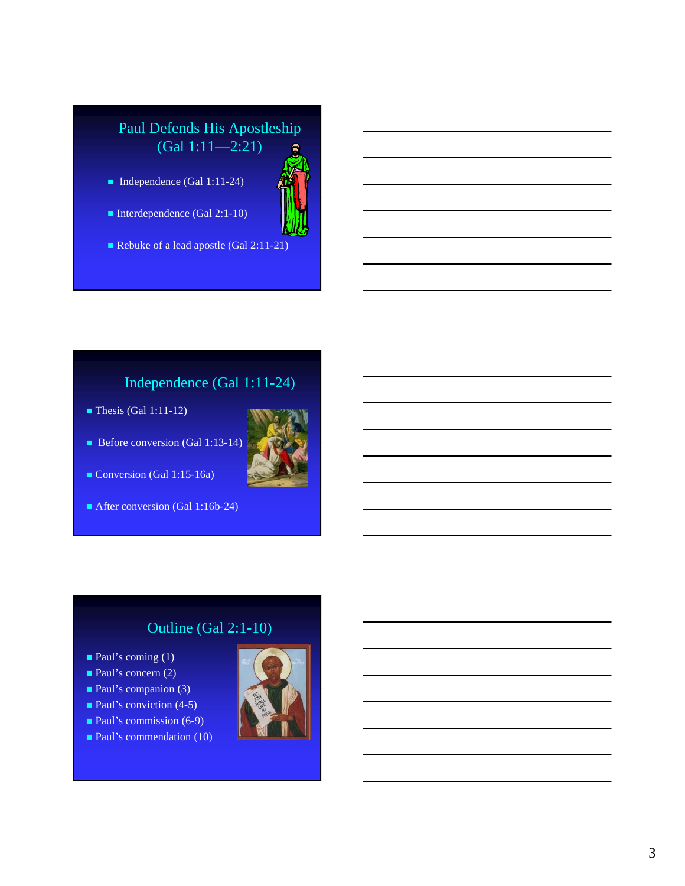## Paul Defends His Apostleship (Gal 1:11—2:21)

- Independence (Gal 1:11-24)
- Interdependence (Gal 2:1-10)
- Rebuke of a lead apostle (Gal 2:11-21)

## Independence (Gal 1:11-24)

 $\blacksquare$  Thesis (Gal 1:11-12)





After conversion (Gal 1:16b-24)

## Outline (Gal 2:1-10)

- **Paul's coming (1)**
- Paul's concern (2)
- $\blacksquare$  Paul's companion (3)
- $\blacksquare$  Paul's conviction (4-5)
- $\blacksquare$  Paul's commission (6-9)
- **Paul's commendation (10)**



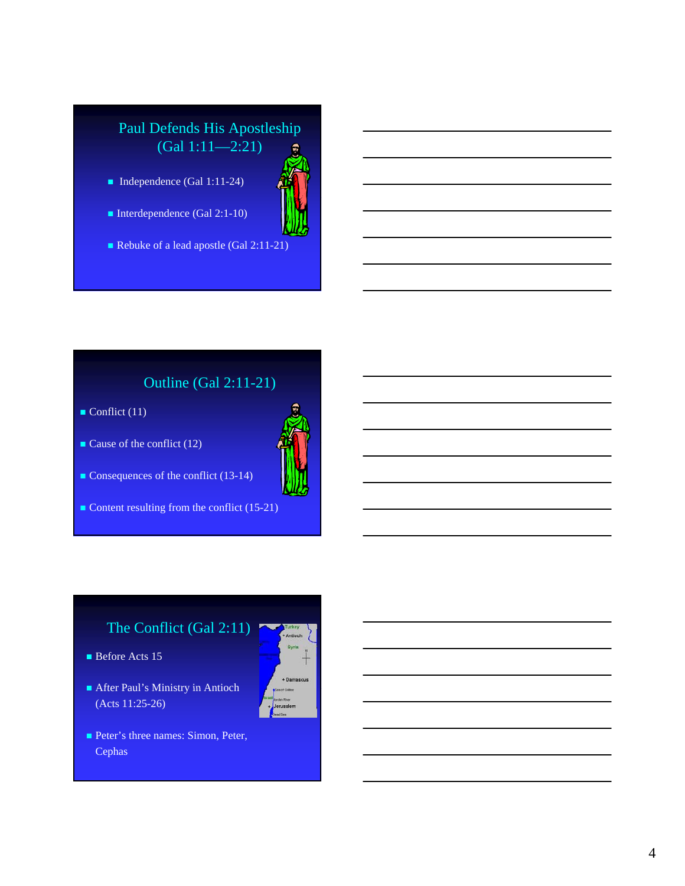## Paul Defends His Apostleship (Gal 1:11—2:21)

- Independence (Gal 1:11-24)
- Interdependence (Gal 2:1-10)
- Rebuke of a lead apostle (Gal 2:11-21)

# Outline (Gal 2:11-21)

- $\blacksquare$  Conflict (11)
- Cause of the conflict  $(12)$



- Consequences of the conflict (13-14)
- Content resulting from the conflict (15-21)

# The Conflict (Gal 2:11)

- Before Acts 15
- After Paul's Ministry in Antioch (Acts 11:25-26)



Peter's three names: Simon, Peter, Cephas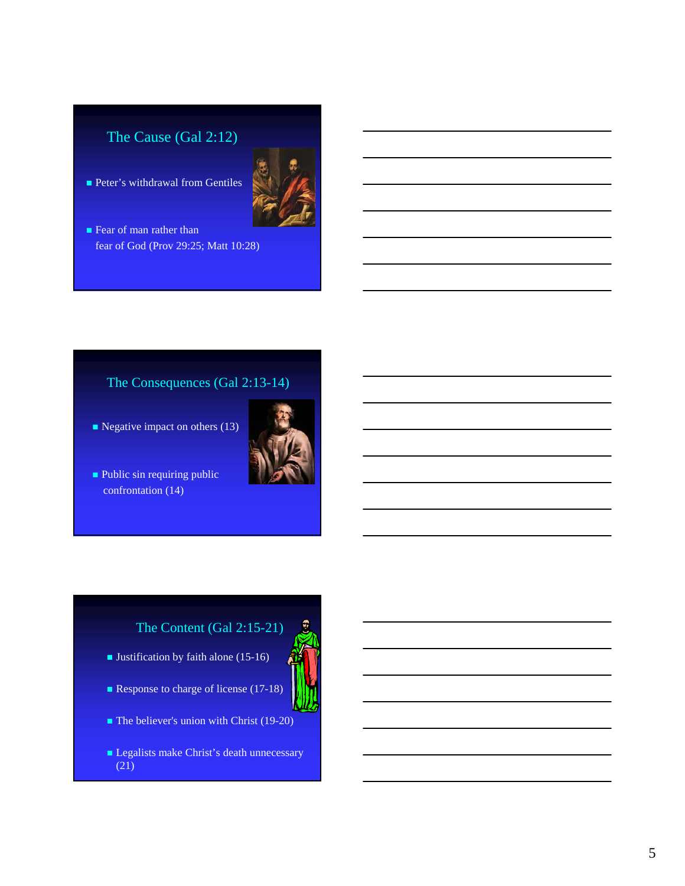## The Cause (Gal 2:12)

**Peter's withdrawal from Gentiles** 



**Fear of man rather than** fear of God (Prov 29:25; Matt 10:28)

### The Consequences (Gal 2:13-14)

- $\blacksquare$  Negative impact on others (13)
- Public sin requiring public confrontation (14)



# The Content (Gal 2:15-21)

- **Justification by faith alone (15-16)**
- Response to charge of license (17-18)



- $\blacksquare$  The believer's union with Christ (19-20)
- Legalists make Christ's death unnecessary (21)